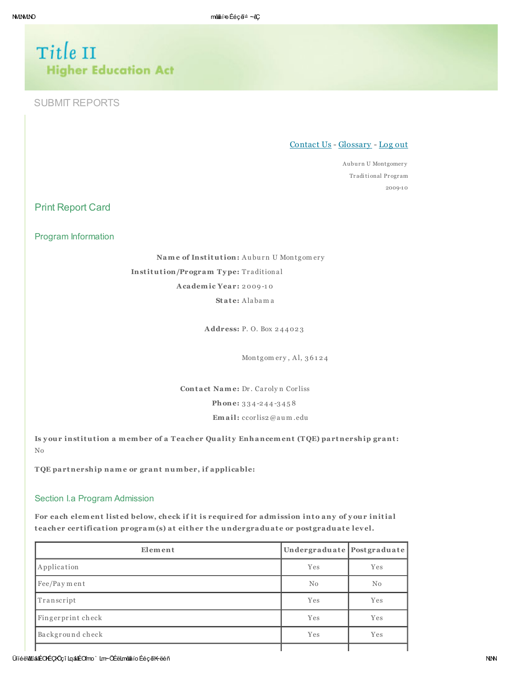# Title II **Higher Education Act**

# **SUBMIT REPORTS**

Contact Us - Glossary - Log out

Auburn U Montgomery Traditional Program  $2009 - 10$ 

**Print Report Card** 

Program Information

Name of Institution: Auburn U Montgomery Institution/Program Type: Traditional Academic Year: 2009-10 State: Alabama

Address: P.O. Box 244023

Montgomery, Al, 36124

Contact Name: Dr. Carolyn Corliss Phone: 334-244-3458

Email: ccorlis2@aum.edu

Is your institution a member of a Teacher Quality Enhancement (TQE) partnership grant:  $_{\rm No}$ 

TQE partnership name or grant number, if applicable:

#### Section I.a Program Admission

For each element listed below, check if it is required for admission into any of your initial teacher certification program(s) at either the undergraduate or postgraduate level.

| Element           | Undergraduate Postgraduate |     |  |
|-------------------|----------------------------|-----|--|
| Application       | Yes                        | Yes |  |
| Fee/Payment       | No                         | No  |  |
| Transcript        | Yes                        | Yes |  |
| Fingerprint check | Yes                        | Yes |  |
| Background check  | Yes                        | Yes |  |
|                   |                            |     |  |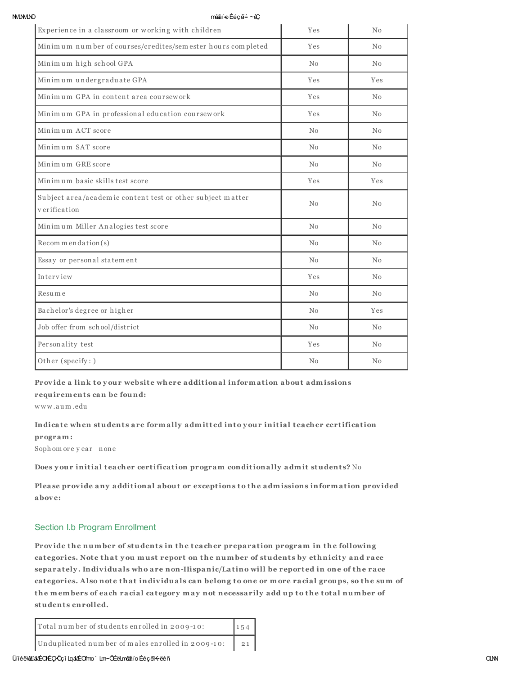**MMMO** 

#### mênâí÷o Ééçã≐ ∼êÇ

| Experience in a classroom or working with children                         | Yes | No             |
|----------------------------------------------------------------------------|-----|----------------|
| Minimum number of courses/credites/sem ester hours completed               | Yes | No             |
| Minimum high school GPA                                                    | No  | N <sub>0</sub> |
| Minimum undergraduate GPA                                                  | Yes | Yes            |
| Minimum GPA in content area coursework                                     | Yes | No             |
| Minimum GPA in professional education coursework                           | Yes | No             |
| Minimum ACT score                                                          | No  | N <sub>0</sub> |
| Minimum SAT score                                                          | No  | N <sub>0</sub> |
| Minimum GRE score                                                          | No  | $\rm No$       |
| Minimum basic skills test score                                            | Yes | Yes            |
| Subject area/academic content test or other subject matter<br>verification | No  | No             |
| Minimum Miller Analogies test score                                        | No  | No             |
| $Recom$ m endation(s)                                                      | No  | No             |
| Essay or personal statement                                                | No  | N <sub>0</sub> |
| Interview                                                                  | Yes | No             |
| Resume                                                                     | No  | No             |
| Bachelor's degree or higher                                                | No  | Yes            |
| Job offer from school/district                                             | No  | No             |
| Personality test                                                           | Yes | N <sub>0</sub> |
| Other (specify:)                                                           | No  | No             |

#### Provide a link to your website where additional information about admissions

requirements can be found:

www.aum.edu

## Indicate when students are formally admitted into your initial teacher certification program:

Sophomore year none

Does your initial teacher certification program conditionally admit students? No

Please provide any additional about or exceptions to the admissions information provided above:

#### Section I.b Program Enrollment

Provide the number of students in the teacher preparation program in the following categories. Note that you must report on the number of students by ethnicity and race separately. Individuals who are non-Hispanic/Latino will be reported in one of the race categories. Also note that individuals can belong to one or more racial groups, so the sum of the members of each racial category may not necessarily add up to the total number of students enrolled.

| $\vert 154 \vert$<br>Total number of students enrolled in 2009-10: |  |
|--------------------------------------------------------------------|--|
| Unduplicated number of males enrolled in 2009-10: 21               |  |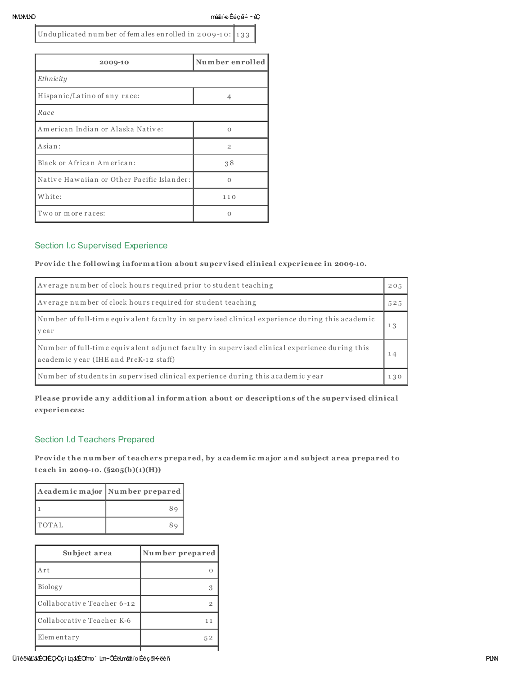NMLNMLNO mê∰áí=o Ééçã≐ ~êÇ

Unduplicated number of fem ales enrolled in 2009-10: 133

| 2009-10                                    | Number enrolled |
|--------------------------------------------|-----------------|
| Ethnicity                                  |                 |
| Hispanic/Latino of any race:               | 4               |
| Race                                       |                 |
| American Indian or Alaska Native:          | $\circ$         |
| Asian:                                     | $\overline{2}$  |
| Black or African American:                 | 38              |
| Native Hawaiian or Other Pacific Islander: | $\Omega$        |
| White:                                     | 110             |
| Two or more races:                         | Ω               |

# Section I.c Supervised Experience

Provide the following information about supervised clinical experience in 2009-10.

| Average number of clock hours required prior to student teaching                                                                      |     |  |  |
|---------------------------------------------------------------------------------------------------------------------------------------|-----|--|--|
| Average number of clock hours required for student teaching<br>525                                                                    |     |  |  |
| Number of full-time equivalent faculty in supervised clinical experience during this academic<br>13<br>vear                           |     |  |  |
| Number of full-time equivalent adjunct faculty in supervised clinical experience during this<br>academic year (IHE and PreK-12 staff) |     |  |  |
| Number of students in supervised clinical experience during this academic year                                                        | 130 |  |  |

Please provide any additional information about or descriptions of the supervised clinical experien ces:

# Section I.d Teachers Prepared

Provide the number of teachers prepared, by academic major and subject area prepared to teach in 2009-10.  $(\frac{205(b)(1)(H)}{H})$ 

|              | Academic major Number prepared |
|--------------|--------------------------------|
|              |                                |
| <b>TOTAL</b> |                                |

| Subject area               | Number prepared |  |  |
|----------------------------|-----------------|--|--|
| Art                        |                 |  |  |
| Biology                    |                 |  |  |
| Collaborative Teacher 6-12 | 9               |  |  |
| Collaborative Teacher K-6  | $1^{\circ}$     |  |  |
| Elementary                 | 52              |  |  |
|                            |                 |  |  |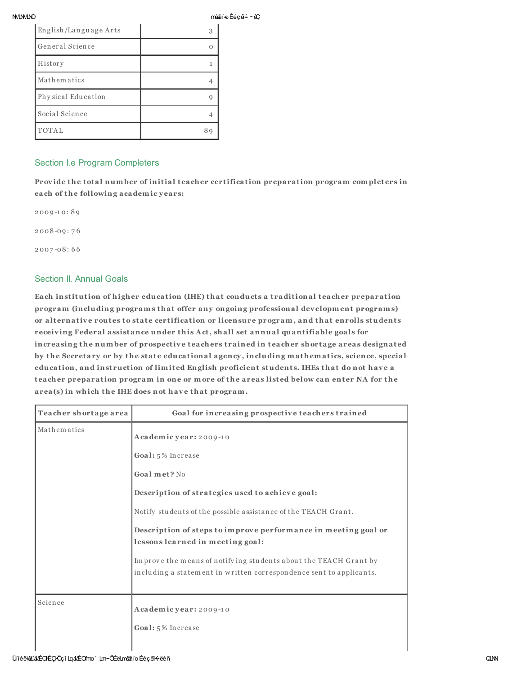| <b>NMININO</b> | mê#âí=oÉéçã≐∼êÇ |
|----------------|-----------------|
|                |                 |

| English/Language Arts |     |
|-----------------------|-----|
| General Science       |     |
| History               |     |
| Mathem atics          |     |
| Physical Education    |     |
| Social Science        |     |
| TOTAL                 | 8 с |

#### Section I.e Program Completers

Provide the total number of initial teacher certification preparation program completers in each of the following a cademic years:

2 009 -1 0: 8 9 2 008 -09 : 7 6 2 007 -08 : 6 6

# Section II. Annual Goals

Each institution of higher education (IHE) that conducts a traditional teacher preparation program (including programs that offer any ongoing professional development programs) or alternative routes to state certification or licensure program, and that enrolls students receiving Federal assistance under this Act, shall set annual quantifiable goals for in creasing the number of prospective teachers trained in teacher shortage areas designated by the Secretary or by the state educational agency, including mathematics, science, special education, and instruction of limited English proficient students. IHEs that do not have a teacher preparation program in one or more of the areas listed below can enter NA for the area(s) in which the IHE does not have that program.

| Teacher shortage area | Goal for increasing prospective teachers trained                                                                                        |
|-----------------------|-----------------------------------------------------------------------------------------------------------------------------------------|
| Mathematics           | Academic year: 2009-10                                                                                                                  |
|                       | Goal: 5% Increase                                                                                                                       |
|                       | Goal met? No                                                                                                                            |
|                       | Description of strategies used to achieve goal:                                                                                         |
|                       | Notify students of the possible assistance of the TEACH Grant.                                                                          |
|                       | Description of steps to improve performance in meeting goal or<br>lessons learned in meeting goal:                                      |
|                       | Improve the means of notifying students about the TEACH Grant by<br>including a statement in written correspondence sent to applicants. |
| Science               | Academic year: 2009-10                                                                                                                  |
|                       | Goal: 5% Increase                                                                                                                       |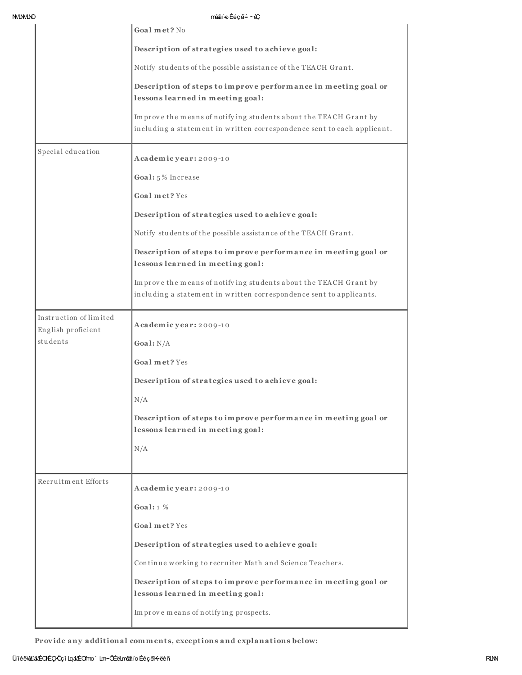| <b>NMINMINO</b> |                                              | mênâí÷o Ééçã≐ ∼êÇ                                                                                                                           |
|-----------------|----------------------------------------------|---------------------------------------------------------------------------------------------------------------------------------------------|
|                 |                                              | Goal met? No                                                                                                                                |
|                 |                                              | Description of strategies used to achieve goal:                                                                                             |
|                 |                                              | Notify students of the possible assistance of the TEACH Grant.                                                                              |
|                 |                                              | Description of steps to improve performance in meeting goal or<br>lessons learned in meeting goal:                                          |
|                 |                                              | Improve the means of notifying students about the TEACH Grant by<br>including a statement in written correspondence sent to each applicant. |
|                 | Special education                            | Academic year: 2009-10                                                                                                                      |
|                 |                                              | Goal: 5% Increase                                                                                                                           |
|                 |                                              | Goal met? Yes                                                                                                                               |
|                 |                                              | Description of strategies used to achieve goal:                                                                                             |
|                 |                                              | Notify students of the possible assistance of the TEACH Grant.                                                                              |
|                 |                                              | Description of steps to improve performance in meeting goal or<br>lessons learned in meeting goal:                                          |
|                 |                                              | Improve the means of notifying students about the TEACH Grant by<br>including a statement in written correspondence sent to applicants.     |
|                 | Instruction of limited<br>English proficient | Academic year: 2009-10                                                                                                                      |
|                 | students                                     | Goal: $N/A$                                                                                                                                 |
|                 |                                              | Goal met? Yes                                                                                                                               |
|                 |                                              | Description of strategies used to achieve goal:                                                                                             |
|                 |                                              | N/A                                                                                                                                         |
|                 |                                              | Description of steps to improve performance in meeting goal or<br>lessons learned in meeting goal:                                          |
|                 |                                              | N/A                                                                                                                                         |
|                 |                                              |                                                                                                                                             |
|                 | Recruitment Efforts                          | Academic year: 2009-10                                                                                                                      |
|                 |                                              | Goal: $1\%$                                                                                                                                 |
|                 |                                              | Goal met? Yes                                                                                                                               |
|                 |                                              | Description of strategies used to achieve goal:                                                                                             |
|                 |                                              | Continue working to recruiter Math and Science Teachers.                                                                                    |
|                 |                                              | Description of steps to improve performance in meeting goal or<br>lessons learned in meeting goal:                                          |
|                 |                                              | Improvemeans of notifying prospects.                                                                                                        |

Provide any additional comments, exceptions and explanations below: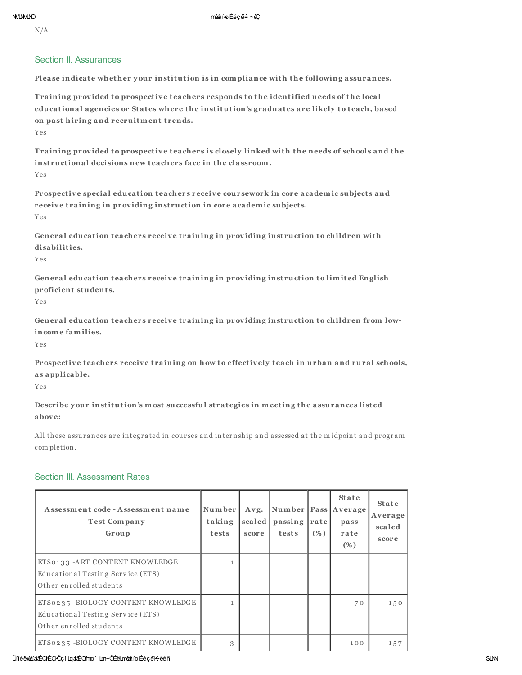$N/A$ 

#### Section II, Assurances

Please indicate whether your institution is in compliance with the following assurances.

Training provided to prospective teachers responds to the identified needs of the local educational agencies or States where the institution's graduates are likely to teach, based on past hiring and recruitment trends.

Yes

Training provided to prospective teachers is closely linked with the needs of schools and the instructional decisions new teachers face in the classroom. Yes

Prospective special education teachers receive coursework in core academic subjects and receive training in providing instruction in core academic subjects.  $Y_{PS}$ 

General education teachers receive training in providing instruction to children with disabilities.

Yes

General education teachers receive training in providing instruction to limited English proficient students.

Yes

General education teachers receive training in providing instruction to children from lowincome families.

Yes

Prospective teachers receive training on how to effectively teach in urban and rural schools, as applicable.

Yes

Describe your institution's most successful strategies in meeting the assurances listed above:

All these assurances are integrated in courses and internship and assessed at the midpoint and program completion.

#### Section III. Assessment Rates

| Assessment code - Assessment name<br><b>Test Company</b><br>Group                                  | Number<br>taking<br>tests | Avg.<br>scaled<br>score | Number   Pass   Average<br>passing<br>tests | rate<br>$(\%)$ | <b>State</b><br>pass<br>rate<br>$(\%)$ | <b>State</b><br>Average<br>scaled<br>score |
|----------------------------------------------------------------------------------------------------|---------------------------|-------------------------|---------------------------------------------|----------------|----------------------------------------|--------------------------------------------|
| ETS0133 - ART CONTENT KNOWLEDGE<br>Educational Testing Service (ETS)<br>Other enrolled students    |                           |                         |                                             |                |                                        |                                            |
| ETS0235 -BIOLOGY CONTENT KNOWLEDGE<br>Educational Testing Service (ETS)<br>Other enrolled students |                           |                         |                                             |                | 70                                     | 150                                        |
| ETS0235-BIOLOGY CONTENT KNOWLEDGE                                                                  | 3                         |                         |                                             |                | 100                                    | 157                                        |

#### ÜlíéëWLiánÉOKÉÇKÖçî LgánÉOfmo` Lm~ÖÉëLmêna ío ÉéçãK-ëéñ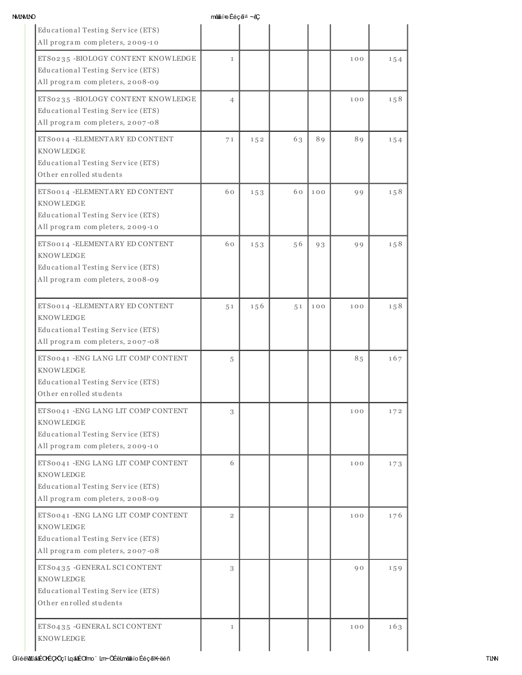| ۰. |
|----|

 $m$ ênn $n \in \mathsf{H}$ n Éé $c$ ã $\cong$   $\sim$ â $\mathsf{C}$ 

|                                                                                                                                 | $\frac{1}{2}$  |     |    |     |     |     |
|---------------------------------------------------------------------------------------------------------------------------------|----------------|-----|----|-----|-----|-----|
| Educational Testing Service (ETS)<br>All program completers, 2009-10                                                            |                |     |    |     |     |     |
| ETS0235 -BIOLOGY CONTENT KNOWLEDGE<br>Educational Testing Service (ETS)<br>All program completers, 2008-09                      | $\mathbf{1}$   |     |    |     | 100 | 154 |
| ETS0235 -BIOLOGY CONTENT KNOWLEDGE<br>Educational Testing Service (ETS)<br>All program completers, 2007-08                      | $\overline{4}$ |     |    |     | 100 | 158 |
| ETS0014 - ELEMENTARY ED CONTENT<br>KNOWLEDGE<br>Educational Testing Service (ETS)<br>Other enrolled students                    | 71             | 152 | 63 | 89  | 89  | 154 |
| ETS0014 - ELEMENTARY ED CONTENT<br><b>KNOWLEDGE</b><br>Educational Testing Service (ETS)<br>All program completers, 2009-10     | 60             | 153 | 60 | 100 | 99  | 158 |
| ETS0014 - ELEMENTARY ED CONTENT<br><b>KNOWLEDGE</b><br>Educational Testing Service (ETS)<br>All program completers, 2008-09     | 60             | 153 | 56 | 93  | 99  | 158 |
| ETS0014 - ELEMENTARY ED CONTENT<br>KNOWLEDGE<br>Educational Testing Service (ETS)<br>All program completers, 2007-08            | 51             | 156 | 51 | 100 | 100 | 158 |
| ETS0041 - ENG LANG LIT COMP CONTENT<br><b>KNOWLEDGE</b><br>Educational Testing Service (ETS)<br>Other enrolled students         | 5              |     |    |     | 85  | 167 |
| ETS0041 - ENG LANG LIT COMP CONTENT<br>KNOWLEDGE<br>Educational Testing Service (ETS)<br>All program completers, 2009-10        | 3              |     |    |     | 100 | 172 |
| ETS0041 - ENG LANG LIT COMP CONTENT<br>KNOWLEDGE<br>Educational Testing Service (ETS)<br>All program completers, 2008-09        | 6              |     |    |     | 100 | 173 |
| ETS0041 - ENG LANG LIT COMP CONTENT<br><b>KNOWLEDGE</b><br>Educational Testing Service (ETS)<br>All program completers, 2007-08 | $\overline{2}$ |     |    |     | 100 | 176 |
| ETS0435 - GENERAL SCI CONTENT<br>KNOWLEDGE<br>Educational Testing Service (ETS)<br>Other enrolled students                      | 3              |     |    |     | 90  | 159 |
| ETS0435 - GENERAL SCI CONTENT<br>KNOWLEDGE                                                                                      | $\mathbf{1}$   |     |    |     | 100 | 163 |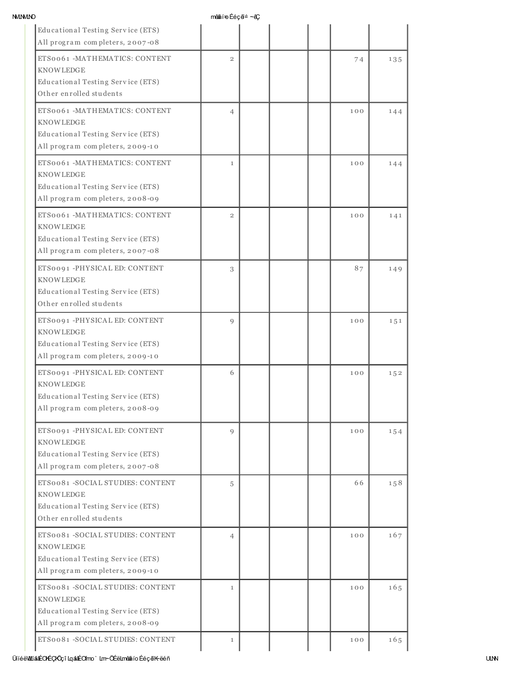| <b>NMININC</b> |  |
|----------------|--|
|                |  |

 $m$ ênn $n \in \mathsf{H}$ n Éé $c$ ã $\cong$   $\sim$ â $\mathsf{C}$ 

|                                                                                                                              | $\frac{1}{2}$  |  |     |           |
|------------------------------------------------------------------------------------------------------------------------------|----------------|--|-----|-----------|
| Educational Testing Service (ETS)<br>All program completers, 2007-08                                                         |                |  |     |           |
| ETS0061 -MATHEMATICS: CONTENT<br><b>KNOWLEDGE</b><br>Educational Testing Service (ETS)<br>Other enrolled students            | $\overline{2}$ |  | 74  | 135       |
| ETS0061 - MATHEMATICS: CONTENT<br><b>KNOWLEDGE</b><br>Educational Testing Service (ETS)<br>All program completers, 2009-10   | $\overline{4}$ |  | 100 | 144       |
| ETS0061 - MATHEMATICS: CONTENT<br><b>KNOWLEDGE</b><br>Educational Testing Service (ETS)<br>All program completers, 2008-09   | $\mathbf{1}$   |  | 100 | 144       |
| ETS0061-MATHEMATICS: CONTENT<br><b>KNOWLEDGE</b><br>Educational Testing Service (ETS)<br>All program completers, 2007-08     | $\overline{2}$ |  | 100 | 141       |
| ETS0091-PHYSICAL ED: CONTENT<br><b>KNOWLEDGE</b><br>Educational Testing Service (ETS)<br>Other enrolled students             | 3              |  | 87  | 149       |
| ETS0091 -PHYSICAL ED: CONTENT<br><b>KNOWLEDGE</b><br>Educational Testing Service (ETS)<br>All program completers, 2009-10    | 9              |  | 100 | $1\,5\,1$ |
| ETS0091 - PHYSICAL ED: CONTENT<br><b>KNOWLEDGE</b><br>Educational Testing Service (ETS)<br>All program completers, 2008-09   | 6              |  | 100 | 152       |
| ETS0091 -PHYSICAL ED: CONTENT<br><b>KNOWLEDGE</b><br>Educational Testing Service (ETS)<br>All program completers, 2007-08    | $\mathbf Q$    |  | 100 | 154       |
| ETS0081 -SOCIAL STUDIES: CONTENT<br><b>KNOWLEDGE</b><br>Educational Testing Service (ETS)<br>Other enrolled students         | 5              |  | 66  | 158       |
| ETS0081 -SOCIAL STUDIES: CONTENT<br><b>KNOWLEDGE</b><br>Educational Testing Service (ETS)<br>All program completers, 2009-10 | $\overline{4}$ |  | 100 | 167       |
| ETS0081 -SOCIAL STUDIES: CONTENT<br><b>KNOWLEDGE</b><br>Educational Testing Service (ETS)<br>All program completers, 2008-09 | $\mathbf{1}$   |  | 100 | 165       |
| ETS0081 -SOCIAL STUDIES: CONTENT                                                                                             | $\mathbf{1}$   |  | 100 | 165       |

## ÜííéëWLíánÉCKÉÇKÖçî LqánáÉOfmo ` Lm~ÖÉëLmênâio ÉéçeĭK~ëéñ ULNN composition a Literature en Santa Composition a L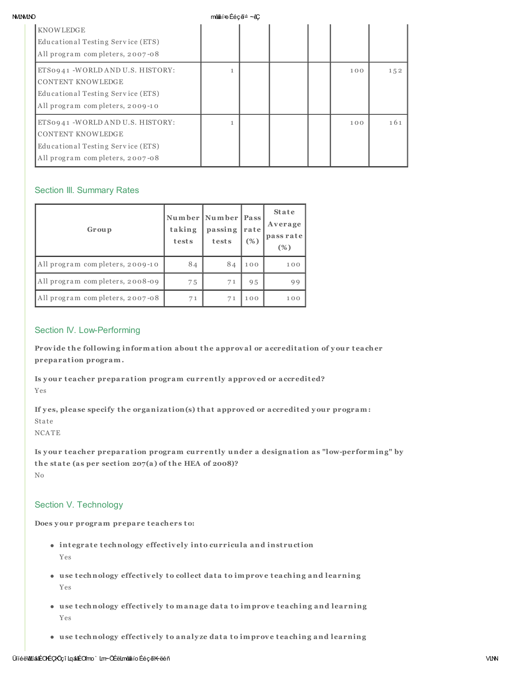#### **MMMO**

mân≸í∓n Éécã≐ ∼ãC

| <b>KNOWLEDGE</b><br>Educational Testing Service (ETS)<br>All program completers, 2007-08                                             |  |  |     |     |
|--------------------------------------------------------------------------------------------------------------------------------------|--|--|-----|-----|
| ETS0941 -WORLD AND U.S. HISTORY:<br><b>CONTENT KNOWLEDGE</b><br>Educational Testing Service (ETS)<br>All program completers, 2009-10 |  |  | 100 | 152 |
| ETS0941 -WORLD AND U.S. HISTORY:<br><b>CONTENT KNOWLEDGE</b><br>Educational Testing Service (ETS)<br>All program completers, 2007-08 |  |  | 100 | 161 |

# **Section III. Summary Rates**

| Group                           | taking<br>tests | Number Number Pass<br>passing<br>tests | rate<br>(%) | <b>State</b><br>Average<br>pass rate<br>(%) |
|---------------------------------|-----------------|----------------------------------------|-------------|---------------------------------------------|
| All program completers, 2009-10 | 84              | 84                                     | 100         | 100                                         |
| All program completers, 2008-09 | 75              | 71                                     | 95          | 99                                          |
| All program completers, 2007-08 | 71              | 71                                     | 100         | 100                                         |

# Section IV. Low-Performing

Provide the following information about the approval or accreditation of your teacher preparation program.

Is your teacher preparation program currently approved or accredited? Yes

If yes, please specify the organization(s) that approved or accredited your program: State

**NCATE** 

Is your teacher preparation program currently under a designation as "low-performing" by the state (as per section 207(a) of the HEA of 2008)?  $_{\rm No}$ 

# Section V. Technology

Does your program prepare teachers to:

- integrate technology effectively into curricula and instruction Yes
- use technology effectively to collect data to improve teaching and learning Yes
- use technology effectively to manage data to improve teaching and learning Yes
- . use technology effectively to analyze data to improve teaching and learning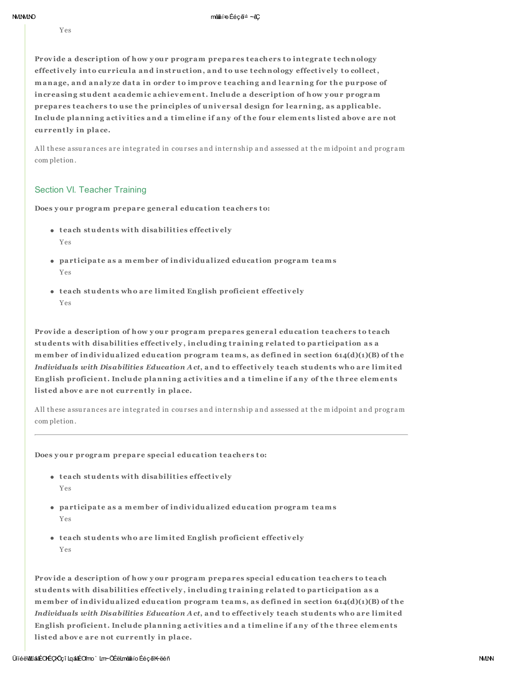Yes

Provide a description of how your program prepares teachers to integrate technology effectively into curricula and instruction, and to use technology effectively to collect, manage, and analyze data in order to improve teaching and learning for the purpose of increasing student academic achievement. Include a description of how your program prepares teachers to use the principles of universal design for learning, as applicable. Include planning activities and a timeline if any of the four elements listed above are not currently in place.

All these assurances are integrated in courses and internship and assessed at the midpoint and program completion.

## Section VI. Teacher Training

Does your program prepare general education teachers to:

- teach students with disabilities effectively  $Y_{PS}$
- participate as a member of individualized education program teams Yes
- teach students who are limited English proficient effectively Yes

Provide a description of how your program prepares general education teachers to teach students with disabilities effectively, including training related to participation as a member of individualized education program teams, as defined in section 614(d)(1)(B) of the Individuals with Disabilities Education Act, and to effectively teach students who are limited English proficient. Include planning activities and a timeline if any of the three elements listed above are not currently in place.

All these assurances are integrated in courses and internship and assessed at the midpoint and program completion.

#### Does your program prepare special education teachers to:

- teach students with disabilities effectively Yes
- participate as a member of individualized education program teams Yes
- teach students who are limited English proficient effectively  $Y_{PS}$

Provide a description of how your program prepares special education teachers to teach students with disabilities effectively, including training related to participation as a member of individualized education program teams, as defined in section 614(d)(1)(B) of the Individuals with Disabilities Education Act, and to effectively teach students who are limited English proficient. Include planning activities and a timeline if any of the three elements listed above are not currently in place.